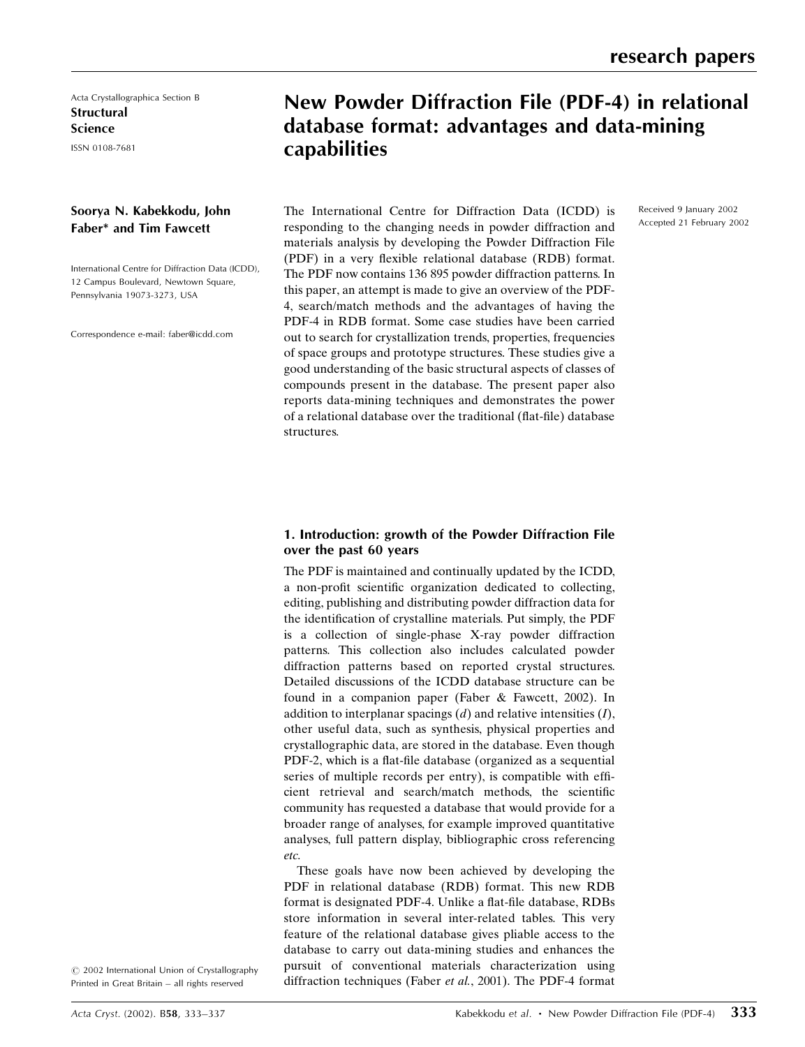Acta Crystallographica Section B **Structural** Science

ISSN 0108-7681

## Soorya N. Kabekkodu, John Faber\* and Tim Fawcett

International Centre for Diffraction Data (ICDD), 12 Campus Boulevard, Newtown Square, Pennsylvania 19073-3273, USA

Correspondence e-mail: faber@icdd.com

# New Powder Diffraction File (PDF-4) in relational database format: advantages and data-mining capabilities

The International Centre for Diffraction Data (ICDD) is responding to the changing needs in powder diffraction and materials analysis by developing the Powder Diffraction File (PDF) in a very flexible relational database (RDB) format. The PDF now contains 136 895 powder diffraction patterns. In this paper, an attempt is made to give an overview of the PDF-4, search/match methods and the advantages of having the PDF-4 in RDB format. Some case studies have been carried out to search for crystallization trends, properties, frequencies of space groups and prototype structures. These studies give a good understanding of the basic structural aspects of classes of compounds present in the database. The present paper also reports data-mining techniques and demonstrates the power of a relational database over the traditional (flat-file) database Received 9 January 2002 Accepted 21 February 2002

## 1. Introduction: growth of the Powder Diffraction File over the past 60 years

structures.

The PDF is maintained and continually updated by the ICDD, a non-profit scientific organization dedicated to collecting, editing, publishing and distributing powder diffraction data for the identification of crystalline materials. Put simply, the PDF is a collection of single-phase X-ray powder diffraction patterns. This collection also includes calculated powder diffraction patterns based on reported crystal structures. Detailed discussions of the ICDD database structure can be found in a companion paper (Faber & Fawcett, 2002). In addition to interplanar spacings  $(d)$  and relative intensities  $(I)$ , other useful data, such as synthesis, physical properties and crystallographic data, are stored in the database. Even though PDF-2, which is a flat-file database (organized as a sequential series of multiple records per entry), is compatible with efficient retrieval and search/match methods, the scientific community has requested a database that would provide for a broader range of analyses, for example improved quantitative analyses, full pattern display, bibliographic cross referencing etc.

These goals have now been achieved by developing the PDF in relational database (RDB) format. This new RDB format is designated PDF-4. Unlike a flat-file database, RDBs store information in several inter-related tables. This very feature of the relational database gives pliable access to the database to carry out data-mining studies and enhances the pursuit of conventional materials characterization using diffraction techniques (Faber et al., 2001). The PDF-4 format

 $\odot$  2002 International Union of Crystallography Printed in Great Britain - all rights reserved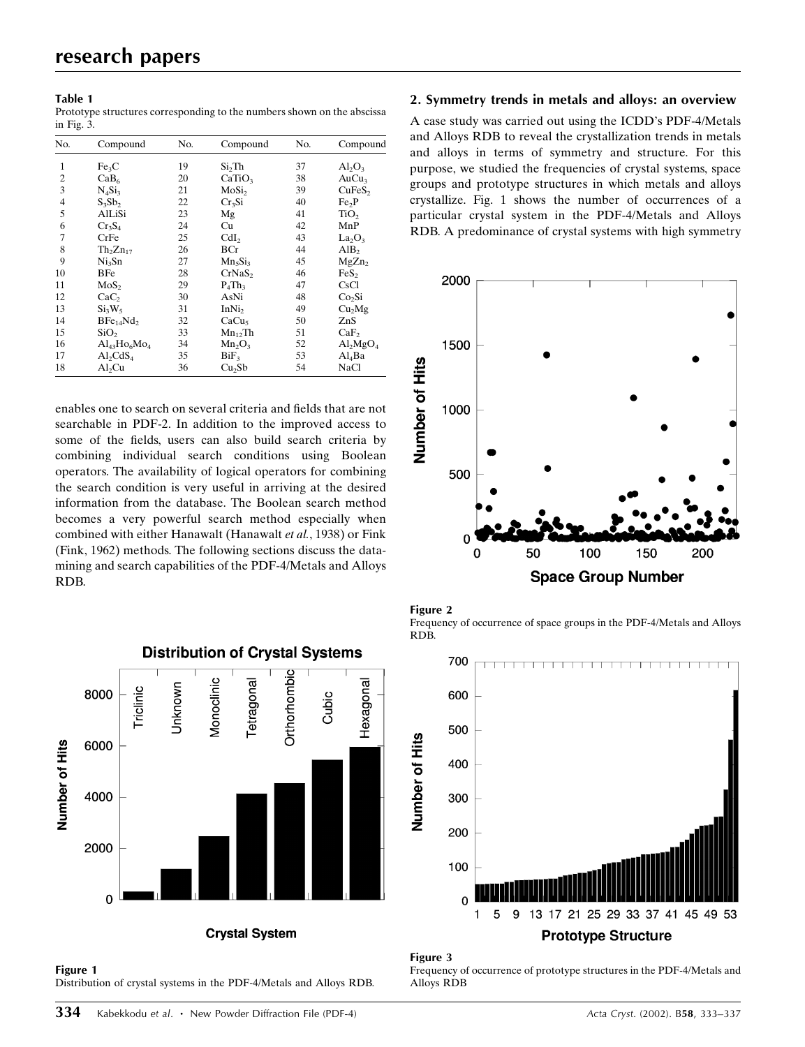#### Table 1

Prototype structures corresponding to the numbers shown on the abscissa in Fig. 3.

| No.            | Compound                          | No. | Compound              | No. | Compound                       |
|----------------|-----------------------------------|-----|-----------------------|-----|--------------------------------|
| 1              | Fe <sub>3</sub> C                 | 19  | Si <sub>2</sub> Th    | 37  | $Al_2O_3$                      |
| $\overline{c}$ | CaB <sub>6</sub>                  | 20  | CaTiO <sub>3</sub>    | 38  | AuCu <sub>3</sub>              |
| 3              | $N_4Si_3$                         | 21  | MoSi <sub>2</sub>     | 39  | CuFeS <sub>2</sub>             |
| 4              | $S_3Sb_2$                         | 22  | Cr <sub>3</sub> Si    | 40  | Fe <sub>2</sub> P              |
| 5              | AlLiSi                            | 23  | Mg                    | 41  | TiO <sub>2</sub>               |
| 6              | Cr <sub>3</sub> S <sub>4</sub>    | 24  | Cu                    | 42  | MnP                            |
| 7              | CrFe                              | 25  | CdI <sub>2</sub>      | 43  | La <sub>2</sub> O <sub>3</sub> |
| 8              | Th <sub>2</sub> Zn <sub>17</sub>  | 26  | BCr                   | 44  | AlB <sub>2</sub>               |
| 9              | Ni <sub>3</sub> Sn                | 27  | $Mn_5Si_3$            | 45  | MgZn <sub>2</sub>              |
| 10             | BFe                               | 28  | CrNaS <sub>2</sub>    | 46  | FeS <sub>2</sub>               |
| 11             | MoS <sub>2</sub>                  | 29  | $P_4$ Th <sub>3</sub> | 47  | CsCl                           |
| 12             | CaC <sub>2</sub>                  | 30  | AsNi                  | 48  | Co <sub>2</sub> Si             |
| 13             | $Si_3W_5$                         | 31  | InNi <sub>2</sub>     | 49  | Cu <sub>2</sub> Mg             |
| 14             | BFe <sub>14</sub> Nd <sub>2</sub> | 32  | CaCu <sub>5</sub>     | 50  | ZnS                            |
| 15             | SiO <sub>2</sub>                  | 33  | $Mn_{12}Th$           | 51  | CaF <sub>2</sub>               |
| 16             | $Al_{43}Ho_{6}Mo_{4}$             | 34  | $Mn_2O_3$             | 52  | $Al_2MgO_4$                    |
| 17             | $Al_2CdS_4$                       | 35  | $BiF_3$               | 53  | $Al_4Ba$                       |
| 18             | Al <sub>2</sub> Cu                | 36  | Cu <sub>2</sub> Sb    | 54  | NaCl                           |

enables one to search on several criteria and fields that are not searchable in PDF-2. In addition to the improved access to some of the fields, users can also build search criteria by combining individual search conditions using Boolean operators. The availability of logical operators for combining the search condition is very useful in arriving at the desired information from the database. The Boolean search method becomes a very powerful search method especially when combined with either Hanawalt (Hanawalt et al., 1938) or Fink (Fink, 1962) methods. The following sections discuss the datamining and search capabilities of the PDF-4/Metals and Alloys RDB.

**Distribution of Crystal Systems Orthorhombic Monoclinic** Hexagonal etragonal Jnknown **Triclinic** 8000 Cubic Number of Hits 6000 4000 2000  $\Omega$ **Crystal System** 



### 2. Symmetry trends in metals and alloys: an overview

A case study was carried out using the ICDD's PDF-4/Metals and Alloys RDB to reveal the crystallization trends in metals and alloys in terms of symmetry and structure. For this purpose, we studied the frequencies of crystal systems, space groups and prototype structures in which metals and alloys crystallize. Fig. 1 shows the number of occurrences of a particular crystal system in the PDF-4/Metals and Alloys RDB. A predominance of crystal systems with high symmetry









Frequency of occurrence of prototype structures in the PDF-4/Metals and Alloys RDB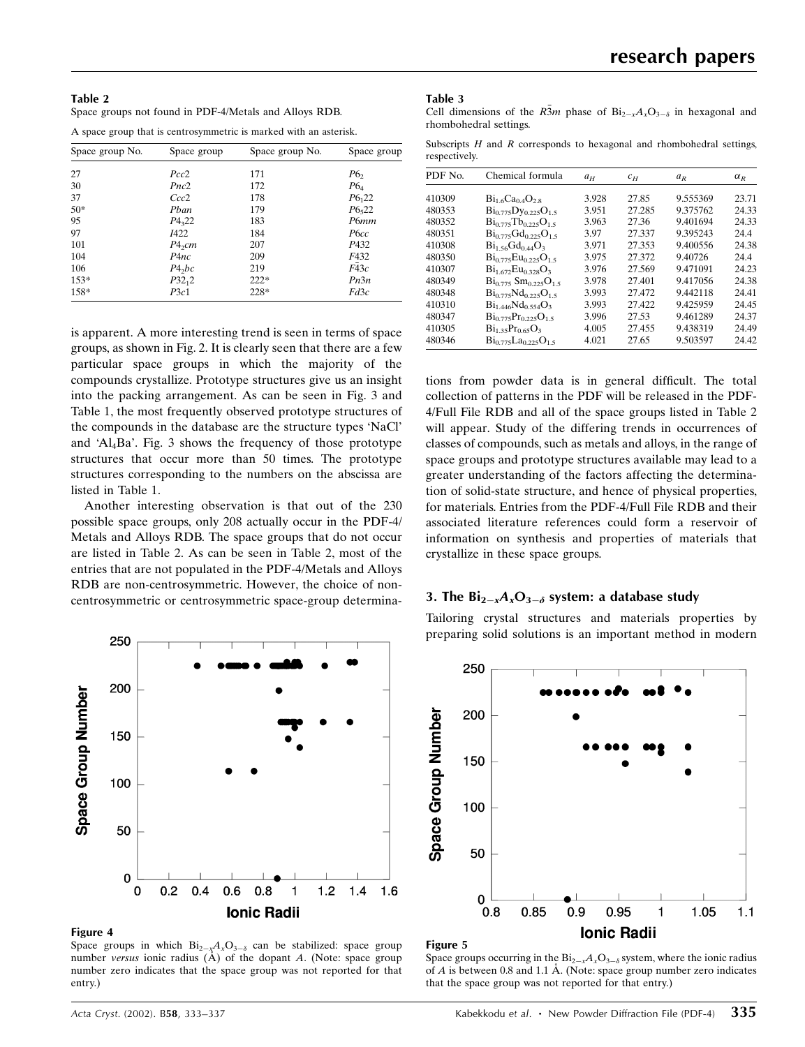| Table 2                                                |  |
|--------------------------------------------------------|--|
| Space groups not found in PDF-4/Metals and Alloys RDB. |  |

A space group that is centrosymmetric is marked with an asterisk.

| Space group No. | Space group        | Space group No. | Space group     |
|-----------------|--------------------|-----------------|-----------------|
| 27              | Pcc2               | 171             | P6 <sub>2</sub> |
| 30              | Pnc2               | 172             | $P6_4$          |
| 37              | Ccc2               | 178             | $P6_{1}22$      |
| $50*$           | Pban               | 179             | $P6_{5}22$      |
| 95              | $P_{322}$          | 183             | P6mm            |
| 97              | <i>I</i> 422       | 184             | P6cc            |
| 101             | $P4_2$ <i>cm</i>   | 207             | P432            |
| 104             | P <sub>4nc</sub>   | 209             | F432            |
| 106             | P4 <sub>2</sub> bc | 219             | F43c            |
| $153*$          | $P32_12$           | $222*$          | Pn3n            |
| 158*            | P3c1               | 228*            | Fd3c            |

is apparent. A more interesting trend is seen in terms of space groups, as shown in Fig. 2. It is clearly seen that there are a few particular space groups in which the majority of the compounds crystallize. Prototype structures give us an insight into the packing arrangement. As can be seen in Fig. 3 and Table 1, the most frequently observed prototype structures of the compounds in the database are the structure types `NaCl' and  $A_l$ Ba'. Fig. 3 shows the frequency of those prototype structures that occur more than 50 times. The prototype structures corresponding to the numbers on the abscissa are listed in Table 1.

Another interesting observation is that out of the 230 possible space groups, only 208 actually occur in the PDF-4/ Metals and Alloys RDB. The space groups that do not occur are listed in Table 2. As can be seen in Table 2, most of the entries that are not populated in the PDF-4/Metals and Alloys RDB are non-centrosymmetric. However, the choice of noncentrosymmetric or centrosymmetric space-group determina-



#### Figure 4

Space groups in which  $Bi_{2-x}A_xO_{3-\delta}$  can be stabilized: space group number versus ionic radius  $(A)$  of the dopant A. (Note: space group number zero indicates that the space group was not reported for that entry.)

#### Table 3

Cell dimensions of the  $R\overline{3}m$  phase of  $Bi_{2-x}A_xO_{3-\delta}$  in hexagonal and rhombohedral settings.

Subscripts  $H$  and  $R$  corresponds to hexagonal and rhombohedral settings, respectively.

| PDF No. | Chemical formula                             | $a_H$ | $c_H$  | $a_R$    | $\alpha_{R}$ |
|---------|----------------------------------------------|-------|--------|----------|--------------|
| 410309  | $Bi_{1.6}Ca_{0.4}O_{2.8}$                    | 3.928 | 27.85  | 9.555369 | 23.71        |
| 480353  | $Bi_{0.775}Dy_{0.225}O_{1.5}$                | 3.951 | 27.285 | 9.375762 | 24.33        |
| 480352  | $Bi0775$ Tb <sub>0</sub> 225O <sub>1.5</sub> | 3.963 | 27.36  | 9.401694 | 24.33        |
| 480351  | $Bi_{0.775}Gd_{0.225}O_{1.5}$                | 3.97  | 27.337 | 9.395243 | 24.4         |
| 410308  | $Bi1.56Gd0.44O3$                             | 3.971 | 27.353 | 9.400556 | 24.38        |
| 480350  | $Bi_{0.775}Eu_{0.225}O_{1.5}$                | 3.975 | 27.372 | 9.40726  | 24.4         |
| 410307  | $Bi_{1.672}Eu_{0.328}O_3$                    | 3.976 | 27.569 | 9.471091 | 24.23        |
| 480349  | $\rm{Bi}_{0.775}$ $\rm{Sm}_{0.225}O_{1.5}$   | 3.978 | 27.401 | 9.417056 | 24.38        |
| 480348  | $Bi_0$ 775 $Nd_0$ 225 $O_1$ 5                | 3.993 | 27.472 | 9.442118 | 24.41        |
| 410310  | $Bi_{1.446}Nd_{0.554}O_3$                    | 3.993 | 27.422 | 9425959  | 24.45        |
| 480347  | $Bi_{0.775}Pr_{0.225}O_{1.5}$                | 3.996 | 27.53  | 9.461289 | 24.37        |
| 410305  | $Bi_{1,35}Pr_{0,65}O_3$                      | 4.005 | 27.455 | 9.438319 | 24.49        |
| 480346  | $Bi_{0.775}La_{0.225}O_{1.5}$                | 4.021 | 27.65  | 9.503597 | 24.42        |

tions from powder data is in general difficult. The total collection of patterns in the PDF will be released in the PDF-4/Full File RDB and all of the space groups listed in Table 2 will appear. Study of the differing trends in occurrences of classes of compounds, such as metals and alloys, in the range of space groups and prototype structures available may lead to a greater understanding of the factors affecting the determination of solid-state structure, and hence of physical properties, for materials. Entries from the PDF-4/Full File RDB and their associated literature references could form a reservoir of information on synthesis and properties of materials that crystallize in these space groups.

## 3. The  $Bi_{2-x}A_xO_{3-\delta}$  system: a database study

Tailoring crystal structures and materials properties by preparing solid solutions is an important method in modern



#### Figure 5

Space groups occurring in the  $Bi_{2-x}A_xO_{3-\delta}$  system, where the ionic radius of  $A$  is between 0.8 and 1.1 Å. (Note: space group number zero indicates that the space group was not reported for that entry.)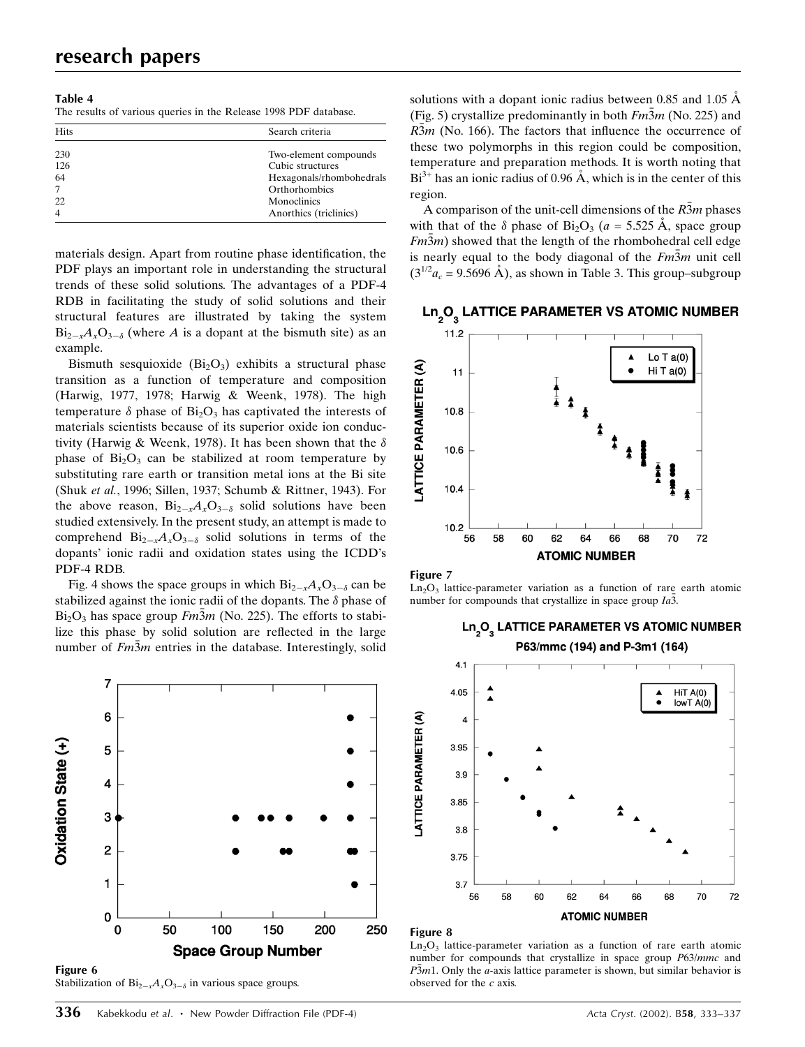| H |              |  |
|---|--------------|--|
|   | ٠<br>۰.<br>Ξ |  |

The results of various queries in the Release 1998 PDF database.

| <b>Hits</b>    | Search criteria          |  |  |
|----------------|--------------------------|--|--|
| 230            | Two-element compounds    |  |  |
| 126            | Cubic structures         |  |  |
| 64             | Hexagonals/rhombohedrals |  |  |
|                | Orthorhombics            |  |  |
| 22             | Monoclinics              |  |  |
| $\overline{4}$ | Anorthics (triclinics)   |  |  |

materials design. Apart from routine phase identification, the PDF plays an important role in understanding the structural trends of these solid solutions. The advantages of a PDF-4 RDB in facilitating the study of solid solutions and their structural features are illustrated by taking the system  $Bi_{2-x}A_xO_{3-\delta}$  (where A is a dopant at the bismuth site) as an example.

Bismuth sesquioxide  $(Bi<sub>2</sub>O<sub>3</sub>)$  exhibits a structural phase transition as a function of temperature and composition (Harwig, 1977, 1978; Harwig & Weenk, 1978). The high temperature  $\delta$  phase of Bi<sub>2</sub>O<sub>3</sub> has captivated the interests of materials scientists because of its superior oxide ion conductivity (Harwig & Weenk, 1978). It has been shown that the  $\delta$ phase of  $Bi<sub>2</sub>O<sub>3</sub>$  can be stabilized at room temperature by substituting rare earth or transition metal ions at the Bi site (Shuk et al., 1996; Sillen, 1937; Schumb & Rittner, 1943). For the above reason,  $Bi_{2-x}A_xO_{3-\delta}$  solid solutions have been studied extensively. In the present study, an attempt is made to comprehend  $Bi_{2-x}A_xO_{3-\delta}$  solid solutions in terms of the dopants' ionic radii and oxidation states using the ICDD's PDF-4 RDB.

Fig. 4 shows the space groups in which  $Bi_{2-x}A_xO_{3-\delta}$  can be stabilized against the ionic radii of the dopants. The  $\delta$  phase of  $Bi<sub>2</sub>O<sub>3</sub>$  has space group  $Fm3m$  (No. 225). The efforts to stabilize this phase by solid solution are reflected in the large number of  $Fm\overline{3}m$  entries in the database. Interestingly, solid



Stabilization of  $Bi_{2-x}A_xO_{3-\delta}$  in various space groups.

solutions with a dopant ionic radius between 0.85 and 1.05  $\AA$ (Fig. 5) crystallize predominantly in both  $Fm\overline{3}m$  (No. 225) and  $R\overline{3}m$  (No. 166). The factors that influence the occurrence of these two polymorphs in this region could be composition, temperature and preparation methods. It is worth noting that  $Bi^{3+}$  has an ionic radius of 0.96 Å, which is in the center of this region.

A comparison of the unit-cell dimensions of the R3m phases with that of the  $\delta$  phase of Bi<sub>2</sub>O<sub>3</sub> (a = 5.525 Å, space group  $Fm\overline{3}m$ ) showed that the length of the rhombohedral cell edge is nearly equal to the body diagonal of the  $Fm\overline{3}m$  unit cell  $(3^{1/2}a_c = 9.5696 \text{ Å})$ , as shown in Table 3. This group–subgroup



## Ln<sub>2</sub>O<sub>2</sub> LATTICE PARAMETER VS ATOMIC NUMBER



 $Ln<sub>2</sub>O<sub>3</sub>$  lattice-parameter variation as a function of rare earth atomic number for compounds that crystallize in space group  $Ia\overline{3}$ .

Ln<sub>2</sub>O<sub>2</sub> LATTICE PARAMETER VS ATOMIC NUMBER



#### Figure 8

 $Ln<sub>2</sub>O<sub>3</sub>$  lattice-parameter variation as a function of rare earth atomic number for compounds that crystallize in space group P63/mmc and  $P\overline{3}m1$ . Only the *a*-axis lattice parameter is shown, but similar behavior is observed for the  $c$  axis.